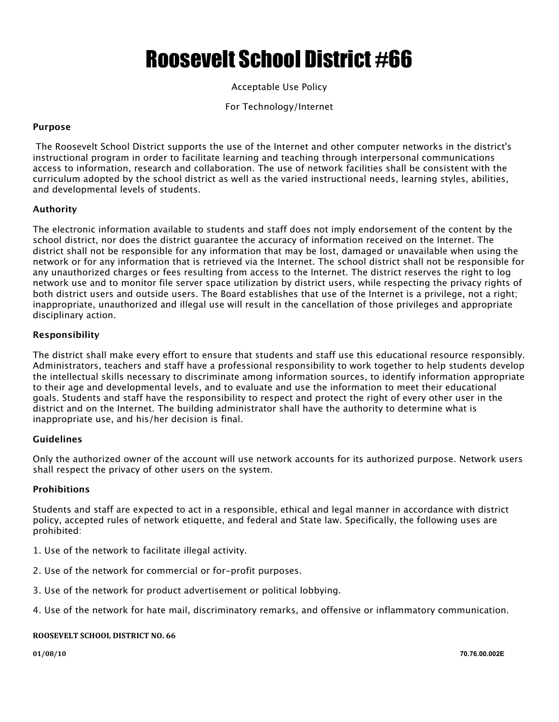# Roosevelt School District #66

### Acceptable Use Policy

For Technology/Internet

#### **Purpose**

The Roosevelt School District supports the use of the Internet and other computer networks in the district's instructional program in order to facilitate learning and teaching through interpersonal communications access to information, research and collaboration. The use of network facilities shall be consistent with the curriculum adopted by the school district as well as the varied instructional needs, learning styles, abilities, and developmental levels of students.

#### **Authority**

The electronic information available to students and staff does not imply endorsement of the content by the school district, nor does the district guarantee the accuracy of information received on the Internet. The district shall not be responsible for any information that may be lost, damaged or unavailable when using the network or for any information that is retrieved via the Internet. The school district shall not be responsible for any unauthorized charges or fees resulting from access to the Internet. The district reserves the right to log network use and to monitor file server space utilization by district users, while respecting the privacy rights of both district users and outside users. The Board establishes that use of the Internet is a privilege, not a right; inappropriate, unauthorized and illegal use will result in the cancellation of those privileges and appropriate disciplinary action.

#### **Responsibility**

The district shall make every effort to ensure that students and staff use this educational resource responsibly. Administrators, teachers and staff have a professional responsibility to work together to help students develop the intellectual skills necessary to discriminate among information sources, to identify information appropriate to their age and developmental levels, and to evaluate and use the information to meet their educational goals. Students and staff have the responsibility to respect and protect the right of every other user in the district and on the Internet. The building administrator shall have the authority to determine what is inappropriate use, and his/her decision is final.

#### **Guidelines**

Only the authorized owner of the account will use network accounts for its authorized purpose. Network users shall respect the privacy of other users on the system.

#### **Prohibitions**

Students and staff are expected to act in a responsible, ethical and legal manner in accordance with district policy, accepted rules of network etiquette, and federal and State law. Specifically, the following uses are prohibited:

- 1. Use of the network to facilitate illegal activity.
- 2. Use of the network for commercial or for-profit purposes.
- 3. Use of the network for product advertisement or political lobbying.
- 4. Use of the network for hate mail, discriminatory remarks, and offensive or inflammatory communication.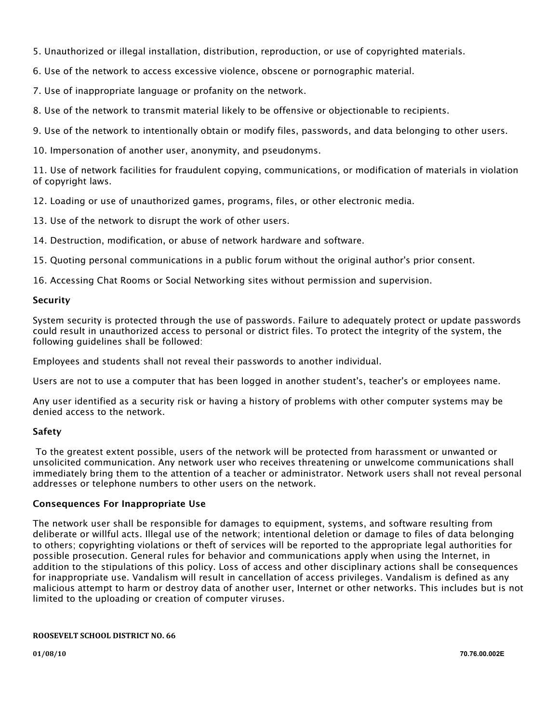5. Unauthorized or illegal installation, distribution, reproduction, or use of copyrighted materials.

6. Use of the network to access excessive violence, obscene or pornographic material.

7. Use of inappropriate language or profanity on the network.

8. Use of the network to transmit material likely to be offensive or objectionable to recipients.

9. Use of the network to intentionally obtain or modify files, passwords, and data belonging to other users.

10. Impersonation of another user, anonymity, and pseudonyms.

11. Use of network facilities for fraudulent copying, communications, or modification of materials in violation of copyright laws.

12. Loading or use of unauthorized games, programs, files, or other electronic media.

13. Use of the network to disrupt the work of other users.

14. Destruction, modification, or abuse of network hardware and software.

15. Quoting personal communications in a public forum without the original author's prior consent.

16. Accessing Chat Rooms or Social Networking sites without permission and supervision.

#### **Security**

System security is protected through the use of passwords. Failure to adequately protect or update passwords could result in unauthorized access to personal or district files. To protect the integrity of the system, the following guidelines shall be followed:

Employees and students shall not reveal their passwords to another individual.

Users are not to use a computer that has been logged in another student's, teacher's or employees name.

Any user identified as a security risk or having a history of problems with other computer systems may be denied access to the network.

#### **Safety**

To the greatest extent possible, users of the network will be protected from harassment or unwanted or unsolicited communication. Any network user who receives threatening or unwelcome communications shall immediately bring them to the attention of a teacher or administrator. Network users shall not reveal personal addresses or telephone numbers to other users on the network.

#### **Consequences For Inappropriate Use**

The network user shall be responsible for damages to equipment, systems, and software resulting from deliberate or willful acts. Illegal use of the network; intentional deletion or damage to files of data belonging to others; copyrighting violations or theft of services will be reported to the appropriate legal authorities for possible prosecution. General rules for behavior and communications apply when using the Internet, in addition to the stipulations of this policy. Loss of access and other disciplinary actions shall be consequences for inappropriate use. Vandalism will result in cancellation of access privileges. Vandalism is defined as any malicious attempt to harm or destroy data of another user, Internet or other networks. This includes but is not limited to the uploading or creation of computer viruses.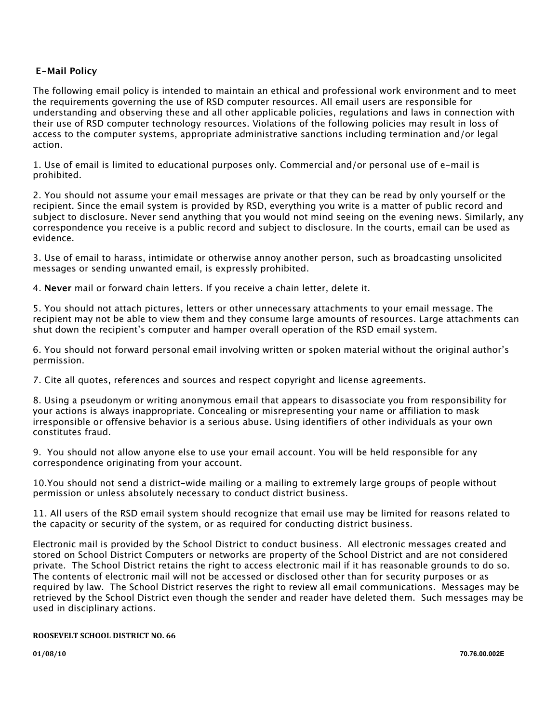### **E-Mail Policy**

The following email policy is intended to maintain an ethical and professional work environment and to meet the requirements governing the use of RSD computer resources. All email users are responsible for understanding and observing these and all other applicable policies, regulations and laws in connection with their use of RSD computer technology resources. Violations of the following policies may result in loss of access to the computer systems, appropriate administrative sanctions including termination and/or legal action.

1. Use of email is limited to educational purposes only. Commercial and/or personal use of e-mail is prohibited.

2. You should not assume your email messages are private or that they can be read by only yourself or the recipient. Since the email system is provided by RSD, everything you write is a matter of public record and subject to disclosure. Never send anything that you would not mind seeing on the evening news. Similarly, any correspondence you receive is a public record and subject to disclosure. In the courts, email can be used as evidence.

3. Use of email to harass, intimidate or otherwise annoy another person, such as broadcasting unsolicited messages or sending unwanted email, is expressly prohibited.

4. **Never** mail or forward chain letters. If you receive a chain letter, delete it.

5. You should not attach pictures, letters or other unnecessary attachments to your email message. The recipient may not be able to view them and they consume large amounts of resources. Large attachments can shut down the recipient's computer and hamper overall operation of the RSD email system.

6. You should not forward personal email involving written or spoken material without the original author's permission.

7. Cite all quotes, references and sources and respect copyright and license agreements.

8. Using a pseudonym or writing anonymous email that appears to disassociate you from responsibility for your actions is always inappropriate. Concealing or misrepresenting your name or affiliation to mask irresponsible or offensive behavior is a serious abuse. Using identifiers of other individuals as your own constitutes fraud.

9. You should not allow anyone else to use your email account. You will be held responsible for any correspondence originating from your account.

10.You should not send a district-wide mailing or a mailing to extremely large groups of people without permission or unless absolutely necessary to conduct district business.

11. All users of the RSD email system should recognize that email use may be limited for reasons related to the capacity or security of the system, or as required for conducting district business.

Electronic mail is provided by the School District to conduct business. All electronic messages created and stored on School District Computers or networks are property of the School District and are not considered private. The School District retains the right to access electronic mail if it has reasonable grounds to do so. The contents of electronic mail will not be accessed or disclosed other than for security purposes or as required by law. The School District reserves the right to review all email communications. Messages may be retrieved by the School District even though the sender and reader have deleted them. Such messages may be used in disciplinary actions.